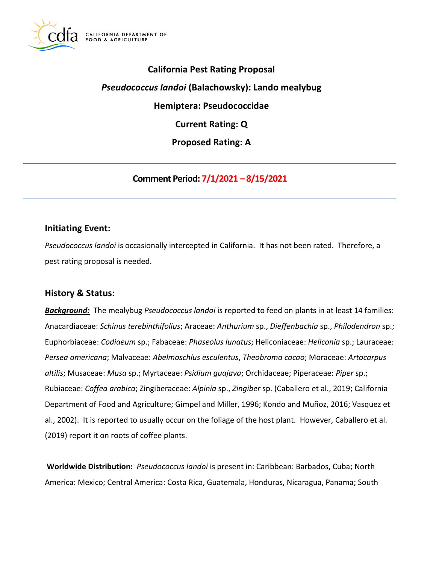

# **California Pest Rating Proposal**  *Pseudococcus landoi* **(Balachowsky): Lando mealybug Hemiptera: Pseudococcidae Current Rating: Q Proposed Rating: A**

**Comment Period: 7/1/2021 – 8/15/2021**

## **Initiating Event:**

*Pseudococcus landoi* is occasionally intercepted in California. It has not been rated. Therefore, a pest rating proposal is needed.

## **History & Status:**

*Background:* The mealybug *Pseudococcus landoi* is reported to feed on plants in at least 14 families: Anacardiaceae: *Schinus terebinthifolius*; Araceae: *Anthurium* sp., *Dieffenbachia* sp., *Philodendron* sp.; Euphorbiaceae: *Codiaeum* sp.; Fabaceae: *Phaseolus lunatus*; Heliconiaceae: *Heliconia* sp.; Lauraceae: *Persea americana*; Malvaceae: *Abelmoschlus esculentus*, *Theobroma cacao*; Moraceae: *Artocarpus altilis*; Musaceae: *Musa* sp.; Myrtaceae: *Psidium guajava*; Orchidaceae; Piperaceae: *Piper* sp.; Rubiaceae: *Coffea arabica*; Zingiberaceae: *Alpinia* sp., *Zingiber* sp. (Caballero et al., 2019; California Department of Food and Agriculture; Gimpel and Miller, 1996; Kondo and Muñoz, 2016; Vasquez et al., 2002). It is reported to usually occur on the foliage of the host plant. However, Caballero et al. (2019) report it on roots of coffee plants.

**Worldwide Distribution:** *Pseudococcus landoi* is present in: Caribbean: Barbados, Cuba; North America: Mexico; Central America: Costa Rica, Guatemala, Honduras, Nicaragua, Panama; South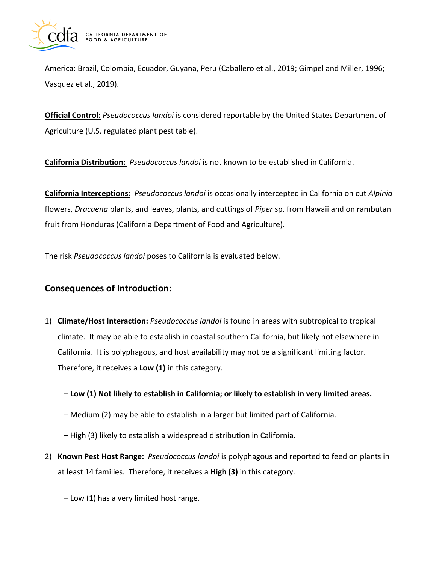

America: Brazil, Colombia, Ecuador, Guyana, Peru (Caballero et al., 2019; Gimpel and Miller, 1996; Vasquez et al., 2019).

**Official Control:** *Pseudococcus landoi* is considered reportable by the United States Department of Agriculture (U.S. regulated plant pest table).

**California Distribution:** *Pseudococcus landoi* is not known to be established in California.

**California Interceptions:** *Pseudococcus landoi* is occasionally intercepted in California on cut *Alpinia*  flowers, *Dracaena* plants, and leaves, plants, and cuttings of *Piper* sp. from Hawaii and on rambutan fruit from Honduras (California Department of Food and Agriculture).

The risk *Pseudococcus landoi* poses to California is evaluated below.

# **Consequences of Introduction:**

- 1) **Climate/Host Interaction:** *Pseudococcus landoi* is found in areas with subtropical to tropical climate. It may be able to establish in coastal southern California, but likely not elsewhere in California. It is polyphagous, and host availability may not be a significant limiting factor. Therefore, it receives a **Low (1)** in this category.
	- **– Low (1) Not likely to establish in California; or likely to establish in very limited areas.**
	- Medium (2) may be able to establish in a larger but limited part of California.
	- High (3) likely to establish a widespread distribution in California.
- 2) **Known Pest Host Range:** *Pseudococcus landoi* is polyphagous and reported to feed on plants in at least 14 families. Therefore, it receives a **High (3)** in this category.
	- Low (1) has a very limited host range.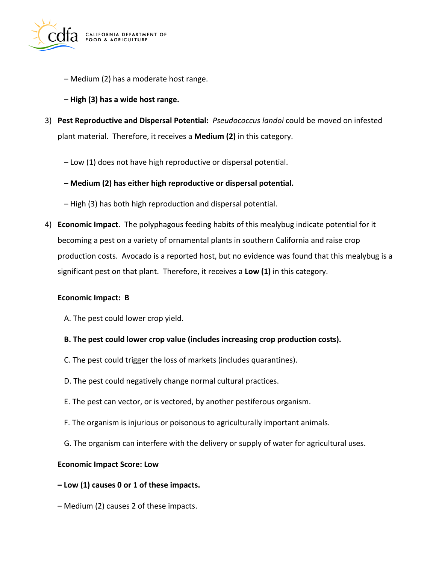

- Medium (2) has a moderate host range.
- **– High (3) has a wide host range.**
- 3) **Pest Reproductive and Dispersal Potential:** *Pseudococcus landoi* could be moved on infested plant material. Therefore, it receives a **Medium (2)** in this category.
	- Low (1) does not have high reproductive or dispersal potential.
	- **– Medium (2) has either high reproductive or dispersal potential.**
	- High (3) has both high reproduction and dispersal potential.
- 4) **Economic Impact**. The polyphagous feeding habits of this mealybug indicate potential for it becoming a pest on a variety of ornamental plants in southern California and raise crop production costs. Avocado is a reported host, but no evidence was found that this mealybug is a significant pest on that plant. Therefore, it receives a **Low (1)** in this category.

#### **Economic Impact: B**

- A. The pest could lower crop yield.
- **B. The pest could lower crop value (includes increasing crop production costs).**
- C. The pest could trigger the loss of markets (includes quarantines).
- D. The pest could negatively change normal cultural practices.
- E. The pest can vector, or is vectored, by another pestiferous organism.
- F. The organism is injurious or poisonous to agriculturally important animals.
- G. The organism can interfere with the delivery or supply of water for agricultural uses.

#### **Economic Impact Score: Low**

- **– Low (1) causes 0 or 1 of these impacts.**
- Medium (2) causes 2 of these impacts.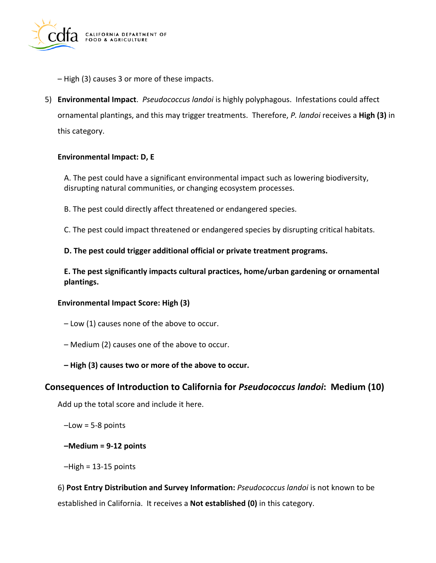

- High (3) causes 3 or more of these impacts.
- 5) **Environmental Impact**. *Pseudococcus landoi* is highly polyphagous. Infestations could affect ornamental plantings, and this may trigger treatments. Therefore, *P. landoi* receives a **High (3)** in this category.

#### **Environmental Impact: D, E**

A. The pest could have a significant environmental impact such as lowering biodiversity, disrupting natural communities, or changing ecosystem processes.

B. The pest could directly affect threatened or endangered species.

C. The pest could impact threatened or endangered species by disrupting critical habitats.

**D. The pest could trigger additional official or private treatment programs.** 

**E. The pest significantly impacts cultural practices, home/urban gardening or ornamental plantings.** 

#### **Environmental Impact Score: High (3)**

- Low (1) causes none of the above to occur.
- Medium (2) causes one of the above to occur.
- **– High (3) causes two or more of the above to occur.**

## **Consequences of Introduction to California for** *Pseudococcus landoi***: Medium (10)**

Add up the total score and include it here.

 $-$ Low = 5-8 points

#### **–Medium = 9-12 points**

 $-High = 13-15$  points

6) **Post Entry Distribution and Survey Information:** *Pseudococcus landoi* is not known to be established in California. It receives a **Not established (0)** in this category.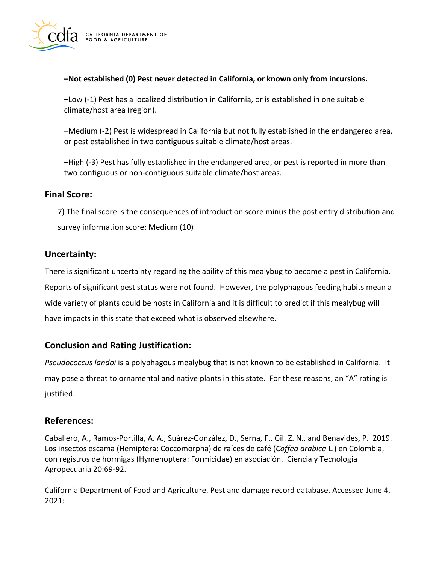

#### **–Not established (0) Pest never detected in California, or known only from incursions.**

–Low (-1) Pest has a localized distribution in California, or is established in one suitable climate/host area (region).

–Medium (-2) Pest is widespread in California but not fully established in the endangered area, or pest established in two contiguous suitable climate/host areas.

–High (-3) Pest has fully established in the endangered area, or pest is reported in more than two contiguous or non-contiguous suitable climate/host areas.

# **Final Score:**

7) The final score is the consequences of introduction score minus the post entry distribution and survey information score: Medium (10)

# **Uncertainty:**

There is significant uncertainty regarding the ability of this mealybug to become a pest in California. Reports of significant pest status were not found. However, the polyphagous feeding habits mean a wide variety of plants could be hosts in California and it is difficult to predict if this mealybug will have impacts in this state that exceed what is observed elsewhere.

# **Conclusion and Rating Justification:**

*Pseudococcus landoi* is a polyphagous mealybug that is not known to be established in California. It may pose a threat to ornamental and native plants in this state. For these reasons, an "A" rating is justified.

# **References:**

Caballero, A., Ramos-Portilla, A. A., Suárez-González, D., Serna, F., Gil. Z. N., and Benavides, P. 2019. Los insectos escama (Hemiptera: Coccomorpha) de raíces de café (*Coffea arabica* L.) en Colombia, con registros de hormigas (Hymenoptera: Formicidae) en asociación. Ciencia y Tecnología Agropecuaria 20:69-92.

California Department of Food and Agriculture. Pest and damage record database. Accessed June 4, 2021: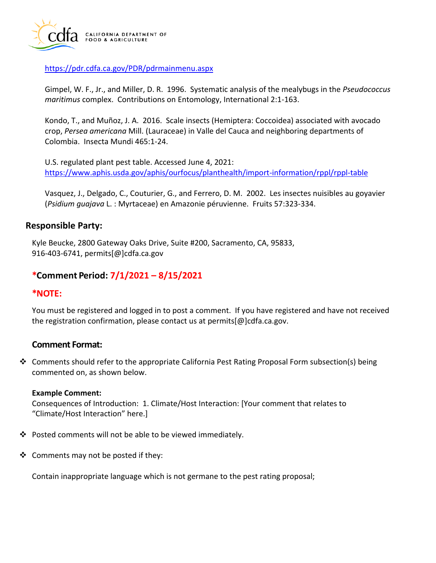

<https://pdr.cdfa.ca.gov/PDR/pdrmainmenu.aspx>

Gimpel, W. F., Jr., and Miller, D. R. 1996. Systematic analysis of the mealybugs in the *Pseudococcus maritimus* complex. Contributions on Entomology, International 2:1-163.

Kondo, T., and Muñoz, J. A. 2016. Scale insects (Hemiptera: Coccoidea) associated with avocado crop, *Persea americana* Mill. (Lauraceae) in Valle del Cauca and neighboring departments of Colombia. Insecta Mundi 465:1-24.

U.S. regulated plant pest table. Accessed June 4, 2021: <https://www.aphis.usda.gov/aphis/ourfocus/planthealth/import-information/rppl/rppl-table>

Vasquez, J., Delgado, C., Couturier, G., and Ferrero, D. M. 2002. Les insectes nuisibles au goyavier (*Psidium guajava* L. : Myrtaceae) en Amazonie péruvienne. Fruits 57:323-334.

## **Responsible Party:**

Kyle Beucke, 2800 Gateway Oaks Drive, Suite #200, Sacramento, CA, 95833, 916-403-6741, [permits\[@\]cdfa.ca.gov](https://permits[@]cdfa.ca.gov) 

## **\*Comment Period: 7/1/2021 – 8/15/2021**

## **\*NOTE:**

You must be registered and logged in to post a comment. If you have registered and have not received the registration confirmation, please contact us at [permits\[@\]cdfa.ca.gov](https://permits[@]cdfa.ca.gov).

## **Comment Format:**

◆ Comments should refer to the appropriate California Pest Rating Proposal Form subsection(s) being commented on, as shown below.

#### **Example Comment:**

Consequences of Introduction: 1. Climate/Host Interaction: [Your comment that relates to "Climate/Host Interaction" here.]

- ❖ Posted comments will not be able to be viewed immediately.
- ❖ Comments may not be posted if they:

Contain inappropriate language which is not germane to the pest rating proposal;